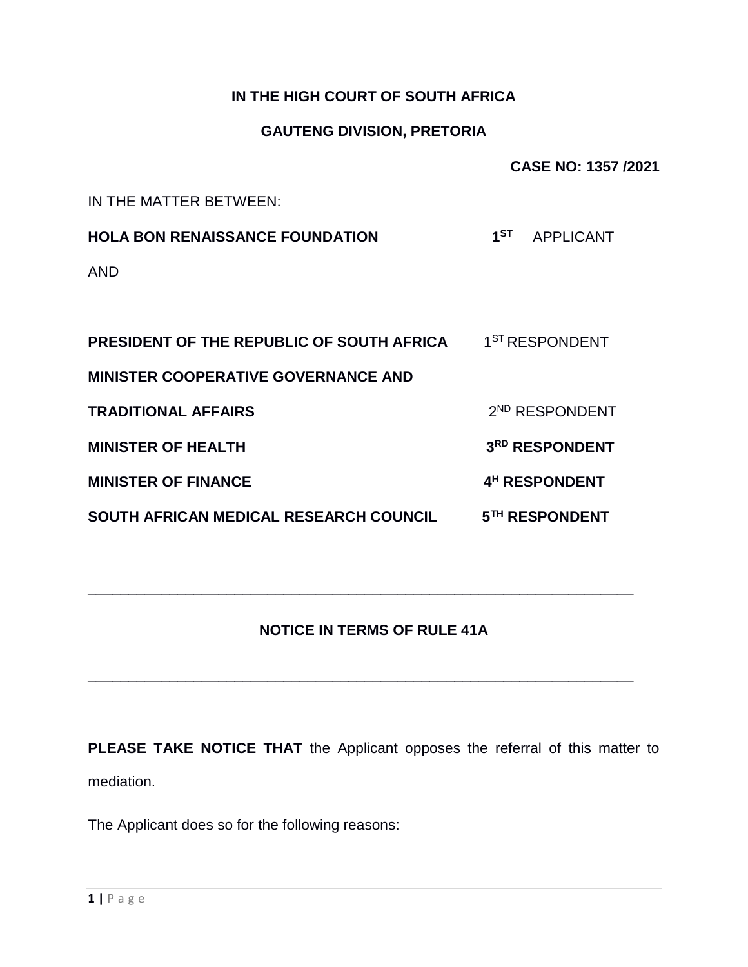## **IN THE HIGH COURT OF SOUTH AFRICA**

## **GAUTENG DIVISION, PRETORIA**

**CASE NO: 1357 /2021**

IN THE MATTER BETWEEN:

**HOLA BON RENAISSANCE FOUNDATION 1 ST** APPLICANT AND

**PRESIDENT OF THE REPUBLIC OF SOUTH AFRICA** 1 1<sup>ST</sup> RESPONDENT **MINISTER COOPERATIVE GOVERNANCE AND TRADITIONAL AFFAIRS** 2 2<sup>ND</sup> RESPONDENT **MINISTER OF HEALTH 3 RD RESPONDENT MINISTER OF FINANCE 4 <sup>H</sup> RESPONDENT SOUTH AFRICAN MEDICAL RESEARCH COUNCIL 5TH RESPONDENT**

## **NOTICE IN TERMS OF RULE 41A**

\_\_\_\_\_\_\_\_\_\_\_\_\_\_\_\_\_\_\_\_\_\_\_\_\_\_\_\_\_\_\_\_\_\_\_\_\_\_\_\_\_\_\_\_\_\_\_\_\_\_\_\_\_\_\_\_\_\_\_\_\_\_\_\_\_\_\_

\_\_\_\_\_\_\_\_\_\_\_\_\_\_\_\_\_\_\_\_\_\_\_\_\_\_\_\_\_\_\_\_\_\_\_\_\_\_\_\_\_\_\_\_\_\_\_\_\_\_\_\_\_\_\_\_\_\_\_\_\_\_\_\_\_\_\_

**PLEASE TAKE NOTICE THAT** the Applicant opposes the referral of this matter to mediation.

The Applicant does so for the following reasons: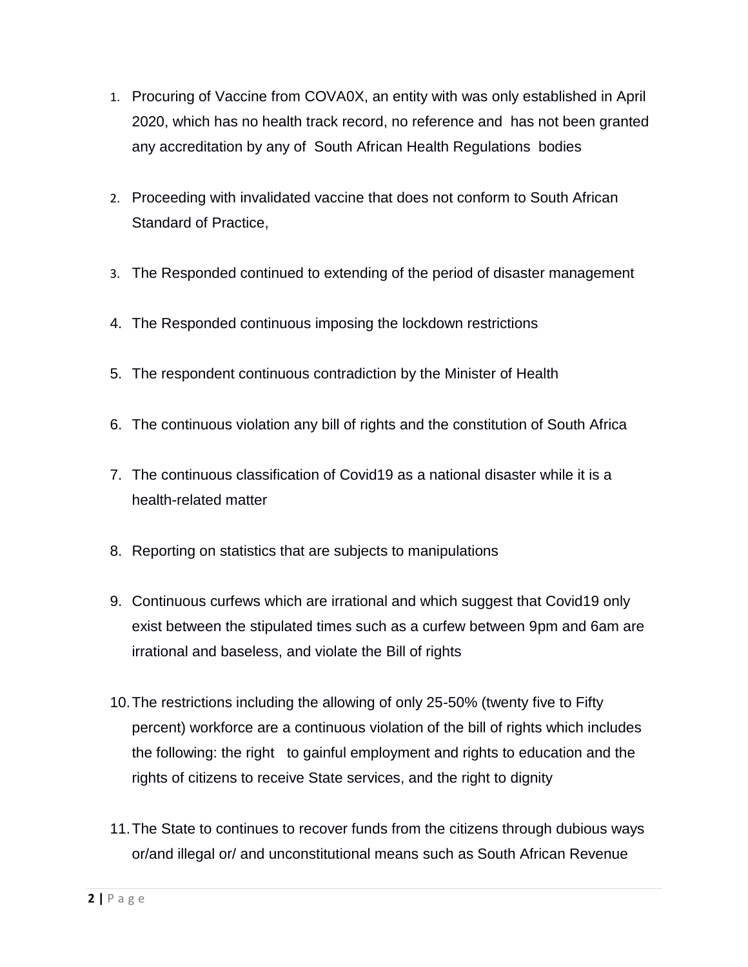- 1. Procuring of Vaccine from COVA0X, an entity with was only established in April 2020, which has no health track record, no reference and has not been granted any accreditation by any of South African Health Regulations bodies
- 2. Proceeding with invalidated vaccine that does not conform to South African Standard of Practice,
- 3. The Responded continued to extending of the period of disaster management
- 4. The Responded continuous imposing the lockdown restrictions
- 5. The respondent continuous contradiction by the Minister of Health
- 6. The continuous violation any bill of rights and the constitution of South Africa
- 7. The continuous classification of Covid19 as a national disaster while it is a health-related matter
- 8. Reporting on statistics that are subjects to manipulations
- 9. Continuous curfews which are irrational and which suggest that Covid19 only exist between the stipulated times such as a curfew between 9pm and 6am are irrational and baseless, and violate the Bill of rights
- 10.The restrictions including the allowing of only 25-50% (twenty five to Fifty percent) workforce are a continuous violation of the bill of rights which includes the following: the right to gainful employment and rights to education and the rights of citizens to receive State services, and the right to dignity
- 11.The State to continues to recover funds from the citizens through dubious ways or/and illegal or/ and unconstitutional means such as South African Revenue